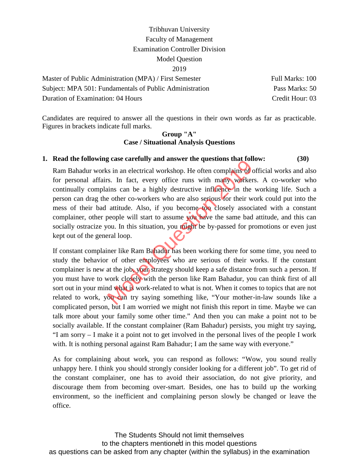Master of Public Administration (MPA) / First Semester Full Marks: 100 Subject: MPA 501: Fundamentals of Public Administration Pass Marks: 50 Duration of Examination: 04 Hours Credit Hour: 03

Candidates are required to answer all the questions in their own words as far as practicable. Figures in brackets indicate full marks.

#### **Group "A" Case / Situational Analysis Questions**

## **1. Read the following case carefully and answer the questions that follow: (30)**

Ram Bahadur works in an electrical workshop. He often complains of official works and also for personal affairs. In fact, every office runs with many workers. A co-worker who continually complains can be a highly destructive influence in the working life. Such a person can drag the other co-workers who are also serious for their work could put into the mess of their bad attitude. Also, if you become too closely associated with a constant complainer, other people will start to assume you have the same bad attitude, and this can socially ostracize you. In this situation, you might be by-passed for promotions or even just kept out of the general loop. It is in an electrical workshop. He often complains of order is in an electrical workshop. He often complains of order s. In fact, every office runs with many workers ains can be a highly destructive influence in the ve ot

If constant complainer like Ram Bahadur has been working there for some time, you need to study the behavior of other employees who are serious of their works. If the constant complainer is new at the job, your strategy should keep a safe distance from such a person. If you must have to work closely with the person like Ram Bahadur, you can think first of all sort out in your mind what is work-related to what is not. When it comes to topics that are not related to work, you can try saying something like, "Your mother-in-law sounds like a complicated person, but I am worried we might not finish this report in time. Maybe we can talk more about your family some other time." And then you can make a point not to be socially available. If the constant complainer (Ram Bahadur) persists, you might try saying, "I am sorry – I make it a point not to get involved in the personal lives of the people I work with. It is nothing personal against Ram Bahadur; I am the same way with everyone."

As for complaining about work, you can respond as follows: "Wow, you sound really unhappy here. I think you should strongly consider looking for a different job". To get rid of the constant complainer, one has to avoid their association, do not give priority, and discourage them from becoming over-smart. Besides, one has to build up the working environment, so the inefficient and complaining person slowly be changed or leave the office.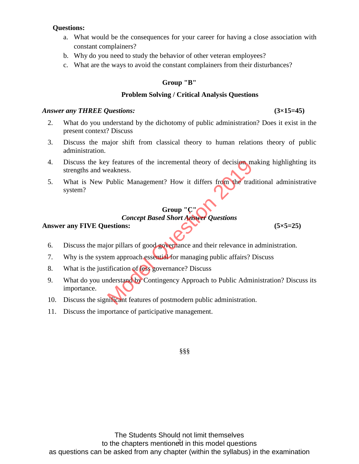# **Questions:**

- a. What would be the consequences for your career for having a close association with constant complainers?
- b. Why do you need to study the behavior of other veteran employees?
- c. What are the ways to avoid the constant complainers from their disturbances?

# **Group "B"**

#### **Problem Solving / Critical Analysis Questions**

#### *Answer any THREE Questions:* **(3×15=45)**

- 2. What do you understand by the dichotomy of public administration? Does it exist in the present context? Discuss
- 3. Discuss the major shift from classical theory to human relations theory of public administration.
- 4. Discuss the key features of the incremental theory of decision making highlighting its strengths and weakness.
- 5. What is New Public Management? How it differs from the traditional administrative system?

# **Group "C"**

# *Concept Based Short Answer Questions*

#### **Answer any FIVE Questions: (5×5=25)**

6. Discuss the major pillars of good governance and their relevance in administration.

- 7. Why is the system approach essential for managing public affairs? Discuss
- 8. What is the justification of less governance? Discuss
- 9. What do you understand by Contingency Approach to Public Administration? Discuss its importance. Express of the incremental theory of decision manufactures.<br>
Public Management? How it differs from the traditional public Management? How it differs from the traditional<br>
Concept Based Short Answer Questions<br>
estions:<br>
si
- 10. Discuss the significant features of postmodern public administration.
- 11. Discuss the importance of participative management.

§§§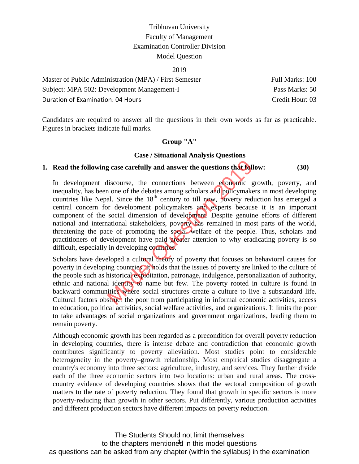#### 2019

| Master of Public Administration (MPA) / First Semester | Full Marks: 100 |
|--------------------------------------------------------|-----------------|
| Subject: MPA 502: Development Management-I             | Pass Marks: 50  |
| Duration of Examination: 04 Hours                      | Credit Hour: 03 |

Candidates are required to answer all the questions in their own words as far as practicable. Figures in brackets indicate full marks.

#### **Group "A"**

#### **Case / Situational Analysis Questions**

# **1. Read the following case carefully and answer the questions that follow: (30)**

In development discourse, the connections between economic growth, poverty, and inequality, has been one of the debates among scholars and policymakers in most developing countries like Nepal. Since the  $18<sup>th</sup>$  century to till now, poverty reduction has emerged a central concern for development policymakers and experts because it is an important component of the social dimension of development. Despite genuine efforts of different national and international stakeholders, poverty has remained in most parts of the world, threatening the pace of promoting the social welfare of the people. Thus, scholars and practitioners of development have paid greater attention to why eradicating poverty is so difficult, especially in developing countries. g case carefully and answer the questions that follo<br>liscourse, the connections between economic gr<br>none of the debates among scholars and policymaker<br>al. Since the 18<sup>th</sup> century to till now, poverty redu<br>or development p

Scholars have developed a cultural theory of poverty that focuses on behavioral causes for poverty in developing countries. It holds that the issues of poverty are linked to the culture of the people such as historical exploitation, patronage, indulgence, personalization of authority, ethnic and national identity to name but few. The poverty rooted in culture is found in backward communities where social structures create a culture to live a substandard life. Cultural factors obstruct the poor from participating in informal economic activities, access to education, political activities, social welfare activities, and organizations. It limits the poor to take advantages of social organizations and government organizations, leading them to remain poverty.

Although economic growth has been regarded as a precondition for overall poverty reduction in developing countries, there is intense debate and contradiction that economic growth contributes significantly to poverty alleviation. Most studies point to considerable heterogeneity in the poverty–growth relationship. Most empirical studies disaggregate a country's economy into three sectors: agriculture, industry, and services. They further divide each of the three economic sectors into two locations: urban and rural areas. The cross country evidence of developing countries shows that the sectoral composition of growth matters to the rate of poverty reduction. They found that growth in specific sectors is more poverty-reducing than growth in other sectors. Put differently, various production activities and different production sectors have different impacts on poverty reduction.

to the chapters mentioned in this model questions The Students Should not limit themselves as questions can be asked from any chapter (within the syllabus) in the examination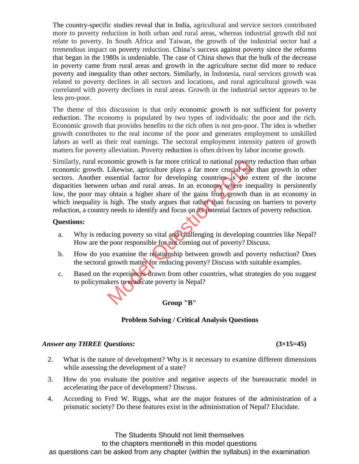The country-specific studies reveal that in India, agricultural and service sectors contributed more to poverty reduction in both urban and rural areas, whereas industrial growth did not relate to poverty. In South Africa and Taiwan, the growth of the industrial sector had a tremendous impact on poverty reduction. China's success against poverty since the reforms that began in the 1980s is undeniable. The case of China shows that the bulk of the decrease in poverty came from rural areas and growth in the agriculture sector did more to reduce poverty and inequality than other sectors. Similarly, in Indonesia, rural services growth was related to poverty declines in all sectors and locations, and rural agricultural growth was correlated with poverty declines in rural areas. Growth in the industrial sector appears to be less pro-poor.

The theme of this discussion is that only economic growth is not sufficient for poverty reduction. The economy is populated by two types of individuals: the poor and the rich. Economic growth that provides benefits to the rich often is not pro-poor. The idea is whether growth contributes to the real income of the poor and generates employment to unskilled labors as well as their real earnings. The sectoral employment intensity pattern of growth matters for poverty alleviation. Poverty reduction is often driven by labor income growth.

Similarly, rural economic growth is far more critical to national poverty reduction than urban economic growth. Likewise, agriculture plays a far more crucial role than growth in other sectors. Another essential factor for developing countries is the extent of the income disparities between urban and rural areas. In an economy where inequality is persistently low, the poor may obtain a higher share of the gains from growth than in an economy in which inequality is high. The study argues that rather than focusing on barriers to poverty reduction, a country needs to identify and focus on its potential factors of poverty reduction. momic growth is far more critical to national powerty<br>Likewise, agriculture plays a far more crucial role is<br>sential factor for developing countries is the ex-<br>u urban and rural areas. In an economy where ineq<br>obtain a hig

#### **Questions:**

- a. Why is reducing poverty so vital and challenging in developing countries like Nepal? How are the poor responsible for not coming out of poverty? Discuss.
- b. How do you examine the relationship between growth and poverty reduction? Does the sectoral growth matter for reducing poverty? Discuss with suitable examples.
- c. Based on the experiences drawn from other countries, what strategies do you suggest to policymakers to eradicate poverty in Nepal?

**Group "B"**

# **Problem Solving / Critical Analysis Questions**

#### *Answer any THREE Questions:* **(3×15=45)**

- 2. What is the nature of development? Why is it necessary to examine different dimensions while assessing the development of a state?
- 3. How do you evaluate the positive and negative aspects of the bureaucratic model in accelerating the pace of development? Discuss.
- 4. According to Fred W. Riggs, what are the major features of the administration of a prismatic society? Do these features exist in the administration of Nepal? Elucidate.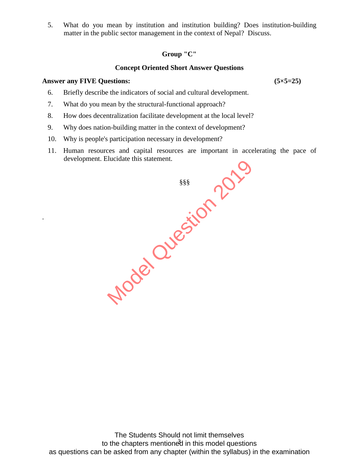5. What do you mean by institution and institution building? Does institution-building matter in the public sector management in the context of Nepal? Discuss.

## **Group "C"**

## **Concept Oriented Short Answer Questions**

#### **Answer any FIVE Questions: (5×5=25)**

.

- 6. Briefly describe the indicators of social and cultural development.
- 7. What do you mean by the structural-functional approach?
- 8. How does decentralization facilitate development at the local level?
- 9. Why does nation-building matter in the context of development?
- 10. Why is people's participation necessary in development?
- 11. Human resources and capital resources are important in accelerating the pace of development. Elucidate this statement.

§§§ Model Question 2019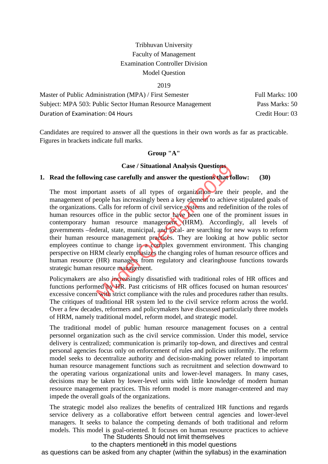#### 2019

| Master of Public Administration (MPA) / First Semester    | Full Marks: 100 |
|-----------------------------------------------------------|-----------------|
| Subject: MPA 503: Public Sector Human Resource Management | Pass Marks: 50  |
| Duration of Examination: 04 Hours                         | Credit Hour: 03 |

Candidates are required to answer all the questions in their own words as far as practicable. Figures in brackets indicate full marks.

#### **Group "A"**

#### **Case / Situational Analysis Questions**

# **1. Read the following case carefully and answer the questions that follow: (30)**

The most important assets of all types of organization are their people, and the management of people has increasingly been a key element to achieve stipulated goals of the organizations. Calls for reform of civil service systems and redefinition of the roles of human resources office in the public sector have been one of the prominent issues in contemporary human resource management (HRM). Accordingly, all levels of governments –federal, state, municipal, and local- are searching for new ways to reform their human resource management practices. They are looking at how public sector employees continue to change in a complex government environment. This changing perspective on HRM clearly emphasizes the changing roles of human resource offices and human resource (HR) managers from regulatory and clearinghouse functions towards strategic human resource management. Case / Situational Analysis Questions<br>ng case carefully and answer the questions that fol<br>tant assets of all types of organization are their<br>eople has increasingly been a key element to achieve<br>. Calls for reform of civil

Policymakers are also *increasingly* dissatisfied with traditional roles of HR offices and functions performed by HR. Past criticisms of HR offices focused on human resources' excessive concern with strict compliance with the rules and procedures rather than results. The critiques of traditional HR system led to the civil service reform across the world. Over a few decades, reformers and policymakers have discussed particularly three models of HRM, namely traditional model, reform model, and strategic model.

The traditional model of public human resource management focuses on a central personnel organization such as the civil service commission. Under this model, service delivery is centralized; communication is primarily top-down, and directives and central personal agencies focus only on enforcement of rules and policies uniformly. The reform model seeks to decentralize authority and decision-making power related to important human resource management functions such as recruitment and selection downward to the operating various organizational units and lower-level managers. In many cases, decisions may be taken by lower-level units with little knowledge of modern human resource management practices. This reform model is more manager-centered and may impede the overall goals of the organizations.

The strategic model also realizes the benefits of centralized HR functions and regards service delivery as a collaborative effort between central agencies and lower-level managers. It seeks to balance the competing demands of both traditional and reform models. This model is goal-oriented. It focuses on human resource practices to achieve The Students Should not limit themselves

to the chapters mentioned in this model questions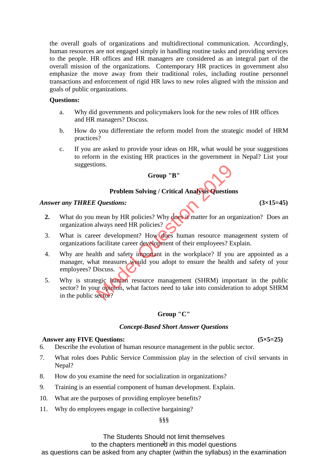the overall goals of organizations and multidirectional communication. Accordingly, human resources are not engaged simply in handling routine tasks and providing services to the people. HR offices and HR managers are considered as an integral part of the overall mission of the organizations. Contemporary HR practices in government also emphasize the move away from their traditional roles, including routine personnel transactions and enforcement of rigid HR laws to new roles aligned with the mission and goals of public organizations.

#### **Questions:**

- a. Why did governments and policymakers look for the new roles of HR offices and HR managers? Discuss.
- b. How do you differentiate the reform model from the strategic model of HRM practices?
- c. If you are asked to provide your ideas on HR, what would be your suggestions to reform in the existing HR practices in the government in Nepal? List your suggestions.

# **Group "B"**

# **Problem Solving / Critical Analysis Questions**

#### *Answer any THREE Questions:* **(3×15=45)**

- **2.** What do you mean by HR policies? Why does it matter for an organization? Does an organization always need HR policies?
- 3. What is career development? How does human resource management system of organizations facilitate career development of their employees? Explain.
- 4. Why are health and safety important in the workplace? If you are appointed as a manager, what measures would you adopt to ensure the health and safety of your employees? Discuss. Group "B"<br>
Problem Solving / Critical Analysis Questions<br>
Questions:<br>
mean by HR policies? Why does in matter for an orga<br>
always need HR policies?<br>
er development? How does human resource mana<br>
facilitate career developme
- 5. Why is strategic human resource management (SHRM) important in the public sector? In your opinion, what factors need to take into consideration to adopt SHRM in the public sector?

# **Group "C"**

#### *Concept-Based Short Answer Questions*

#### **Answer any FIVE Questions: (5×5=25)**

- 6. Describe the evolution of human resource management in the public sector.
- 7. What roles does Public Service Commission play in the selection of civil servants in Nepal?
- 8. How do you examine the need for socialization in organizations?
- 9. Training is an essential component of human development. Explain.
- 10. What are the purposes of providing employee benefits?
- 11. Why do employees engage in collective bargaining?

#### §§§

The Students Should not limit themselves

to the chapters mentioned in this model questions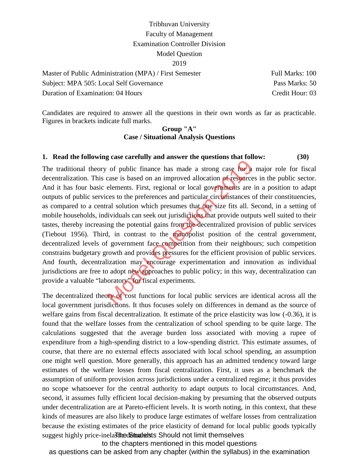| Master of Public Administration (MPA) / First Semester | Full Marks: 100 |
|--------------------------------------------------------|-----------------|
| Subject: MPA 505: Local Self Governance                | Pass Marks: 50  |
| Duration of Examination: 04 Hours                      | Credit Hour: 03 |

Candidates are required to answer all the questions in their own words as far as practicable. Figures in brackets indicate full marks.

#### **Group "A" Case / Situational Analysis Questions**

#### **1. Read the following case carefully and answer the questions that follow: (30)**

The traditional theory of public finance has made a strong case for a major role for fiscal decentralization. This case is based on an improved allocation of resources in the public sector. And it has four basic elements. First, regional or local governments are in a position to adapt outputs of public services to the preferences and particular circumstances of their constituencies, as compared to a central solution which presumes that one size fits all. Second, in a setting of mobile households, individuals can seek out jurisdictions that provide outputs well suited to their tastes, thereby increasing the potential gains from the decentralized provision of public services (Tiebout 1956). Third, in contrast to the monopolist position of the central government, decentralized levels of government face competition from their neighbours; such competition constrains budgetary growth and provides pressures for the efficient provision of public services. And fourth, decentralization may encourage experimentation and innovation as individual jurisdictions are free to adopt new approaches to public policy; in this way, decentralization can provide a valuable "laboratory" for fiscal experiments. of public finance has made a strong case for a reason of public finance has made a strong case for a rease is based on an improved allocation of resources elements. First, regional or local governments are in cess to the p

The decentralized theory of cost functions for local public services are identical across all the local government jurisdictions. It thus focuses solely on differences in demand as the source of welfare gains from fiscal decentralization. It estimate of the price elasticity was low  $(-0.36)$ , it is found that the welfare losses from the centralization of school spending to be quite large. The calculations suggested that the average burden loss associated with moving a rupee of expenditure from a high-spending district to a low-spending district. This estimate assumes, of course, that there are no external effects associated with local school spending, an assumption one might well question. More generally, this approach has an admitted tendency toward large estimates of the welfare losses from fiscal centralization. First, it uses as a benchmark the assumption of uniform provision across jurisdictions under a centralized regime; it thus provides no scope whatsoever for the central authority to adapt outputs to local circumstances. And, second, it assumes fully efficient local decision-making by presuming that the observed outputs under decentralization are at Pareto-efficient levels. It is worth noting, in this context, that these kinds of measures are also likely to produce large estimates of welfare losses from centralization because the existing estimates of the price elasticity of demand for local public goods typically suggest highly price-inelasticedStudents Should not limit themselves

to the chapters mentioned in this model questions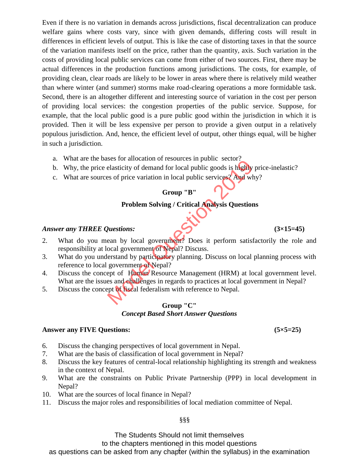Even if there is no variation in demands across jurisdictions, fiscal decentralization can produce welfare gains where costs vary, since with given demands, differing costs will result in differences in efficient levels of output. This is like the case of distorting taxes in that the source of the variation manifests itself on the price, rather than the quantity, axis. Such variation in the costs of providing local public services can come from either of two sources. First, there may be actual differences in the production functions among jurisdictions. The costs, for example, of providing clean, clear roads are likely to be lower in areas where there is relatively mild weather than where winter (and summer) storms make road-clearing operations a more formidable task. Second, there is an altogether different and interesting source of variation in the cost per person of providing local services: the congestion properties of the public service. Suppose, for example, that the local public good is a pure public good within the jurisdiction in which it is provided. Then it will be less expensive per person to provide a given output in a relatively populous jurisdiction. And, hence, the efficient level of output, other things equal, will be higher in such a jurisdiction.

- a. What are the bases for allocation of resources in public sector?
- b. Why, the price elasticity of demand for local public goods is highly price-inelastic?
- c. What are sources of price variation in local public services? And why?

# **Group "B"**

## **Problem Solving / Critical Analysis Questions**

#### *Answer any THREE Questions:* **(3×15=45)**

- 2. What do you mean by local government? Does it perform satisfactorily the role and responsibility at local government of Nepal? Discuss. Season and Calon of Tesoarces in public sector.<br>
Elasticity of demand for local public goods is highly p<br>
elasticity of demand for local public services?<br>
And why<br>
Group "B"<br>
Problem Solving / Critical Analysis Questions<br>
- 3. What do you understand by participatory planning. Discuss on local planning process with reference to local government of Nepal?
- 4. Discuss the concept of Human Resource Management (HRM) at local government level. What are the issues and challenges in regards to practices at local government in Nepal?
- 5. Discuss the concept of fiscal federalism with reference to Nepal.

#### **Group "C"** *Concept Based Short Answer Questions*

#### **Answer any FIVE Questions: (5×5=25)**

- 6. Discuss the changing perspectives of local government in Nepal.
- 7. What are the basis of classification of local government in Nepal?
- 8. Discuss the key features of central-local relationship highlighting its strength and weakness in the context of Nepal.
- 9. What are the constraints on Public Private Partnership (PPP) in local development in Nepal?
- 10. What are the sources of local finance in Nepal?
- 11. Discuss the major roles and responsibilities of local mediation committee of Nepal.

§§§

The Students Should not limit themselves

to the chapters mentioned in this model questions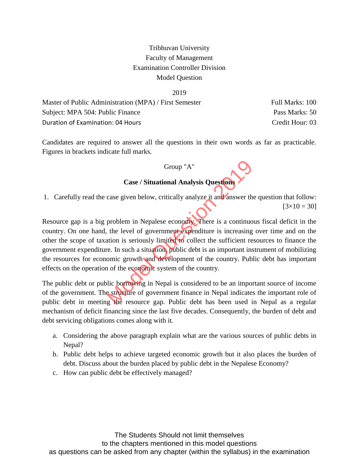#### 2019

| Master of Public Administration (MPA) / First Semester | Full Marks: 100 |
|--------------------------------------------------------|-----------------|
| Subject: MPA 504: Public Finance                       | Pass Marks: 50  |
| Duration of Examination: 04 Hours                      | Credit Hour: 03 |

Candidates are required to answer all the questions in their own words as far as practicable. Figures in brackets indicate full marks.

#### Group "A"

## **Case / Situational Analysis Questions**

1. Carefully read the case given below, critically analyze it and answer the question that follow:  $[3 \times 10 = 30]$ 

Resource gap is a big problem in Nepalese economy. There is a continuous fiscal deficit in the country. On one hand, the level of government expenditure is increasing over time and on the other the scope of taxation is seriously limited to collect the sufficient resources to finance the government expenditure. In such a situation, public debt is an important instrument of mobilizing the resources for economic growth and development of the country. Public debt has important effects on the operation of the economic system of the country. Group "A"<br>Case / Situational Analysis Questions<br>case given below, critically analyze it and answer the<br>problem in Nepalese economy. There is a continuou<br>the level of government expenditure is increasing of<br>tion is seriousl

The public debt or public borrowing in Nepal is considered to be an important source of income of the government. The structure of government finance in Nepal indicates the important role of public debt in meeting the resource gap. Public debt has been used in Nepal as a regular mechanism of deficit financing since the last five decades. Consequently, the burden of debt and debt servicing obligations comes along with it.

- a. Considering the above paragraph explain what are the various sources of public debts in Nepal?
- b. Public debt helps to achieve targeted economic growth but it also places the burden of debt. Discuss about the burden placed by public debt in the Nepalese Economy?
- c. How can public debt be effectively managed?